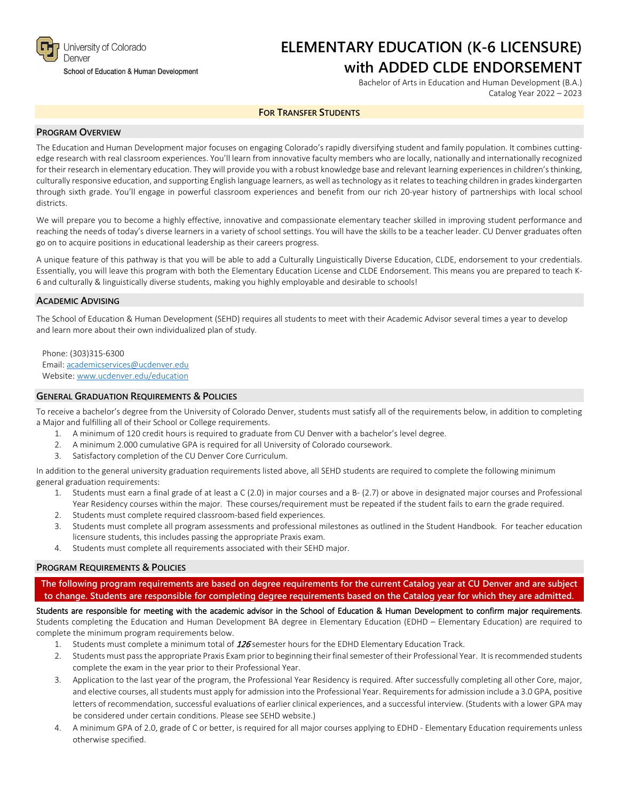

#### School of Education & Human Development

# **ELEMENTARY EDUCATION (K-6 LICENSURE) with ADDED CLDE ENDORSEMENT**

Bachelor of Arts in Education and Human Development (B.A.) Catalog Year 2022 – 2023

## **FOR TRANSFER STUDENTS**

# **PROGRAM OVERVIEW**

The Education and Human Development major focuses on engaging Colorado's rapidly diversifying student and family population. It combines cuttingedge research with real classroom experiences. You'll learn from innovative faculty members who are locally, nationally and internationally recognized for their research in elementary education. They will provide you with a robust knowledge base and relevant learning experiences in children's thinking, culturally responsive education, and supporting English language learners, as well as technology as it relates to teaching children in grades kindergarten through sixth grade. You'll engage in powerful classroom experiences and benefit from our rich 20-year history of partnerships with local school districts.

We will prepare you to become a highly effective, innovative and compassionate elementary teacher skilled in improving student performance and reaching the needs of today's diverse learners in a variety of school settings. You will have the skills to be a teacher leader. CU Denver graduates often go on to acquire positions in educational leadership as their careers progress.

A unique feature of this pathway is that you will be able to add a Culturally Linguistically Diverse Education, CLDE, endorsement to your credentials. Essentially, you will leave this program with both the Elementary Education License and CLDE Endorsement. This means you are prepared to teach K-6 and culturally & linguistically diverse students, making you highly employable and desirable to schools!

#### **ACADEMIC ADVISING**

The School of Education & Human Development (SEHD) requires all students to meet with their Academic Advisor several times a year to develop and learn more about their own individualized plan of study.

Phone: (303)315-6300 Email: [academicservices@ucdenver.edu](mailto:academicservices@ucdenver.edu) Website[: www.ucdenver.edu/education](http://www.ucdenver.edu/education)

## **GENERAL GRADUATION REQUIREMENTS & POLICIES**

To receive a bachelor's degree from the University of Colorado Denver, students must satisfy all of the requirements below, in addition to completing a Major and fulfilling all of their School or College requirements.

- 1. A minimum of 120 credit hours is required to graduate from CU Denver with a bachelor's level degree.
- 2. A minimum 2.000 cumulative GPA is required for all University of Colorado coursework.
- 3. Satisfactory completion of the CU Denver Core Curriculum.

In addition to the general university graduation requirements listed above, all SEHD students are required to complete the following minimum general graduation requirements:

- 1. Students must earn a final grade of at least a C (2.0) in major courses and a B- (2.7) or above in designated major courses and Professional Year Residency courses within the major. These courses/requirement must be repeated if the student fails to earn the grade required.
- 2. Students must complete required classroom-based field experiences.
- 3. Students must complete all program assessments and professional milestones as outlined in the Student Handbook. For teacher education licensure students, this includes passing the appropriate Praxis exam.
- 4. Students must complete all requirements associated with their SEHD major.

# **PROGRAM REQUIREMENTS & POLICIES**

**The following program requirements are based on degree requirements for the current Catalog year at CU Denver and are subject to change. Students are responsible for completing degree requirements based on the Catalog year for which they are admitted.**

Students are responsible for meeting with the academic advisor in the School of Education & Human Development to confirm major requirements. Students completing the Education and Human Development BA degree in Elementary Education (EDHD – Elementary Education) are required to complete the minimum program requirements below.

- 1. Students must complete a minimum total of 126 semester hours for the EDHD Elementary Education Track.
- 2. Students must pass the appropriate Praxis Exam prior to beginning their final semester of their Professional Year. It is recommended students complete the exam in the year prior to their Professional Year.
- 3. Application to the last year of the program, the Professional Year Residency is required. After successfully completing all other Core, major, and elective courses, all students must apply for admission into the Professional Year. Requirements for admission include a 3.0 GPA, positive letters of recommendation, successful evaluations of earlier clinical experiences, and a successful interview. (Students with a lower GPA may be considered under certain conditions. Please see SEHD website.)
- 4. A minimum GPA of 2.0, grade of C or better, is required for all major courses applying to EDHD Elementary Education requirements unless otherwise specified.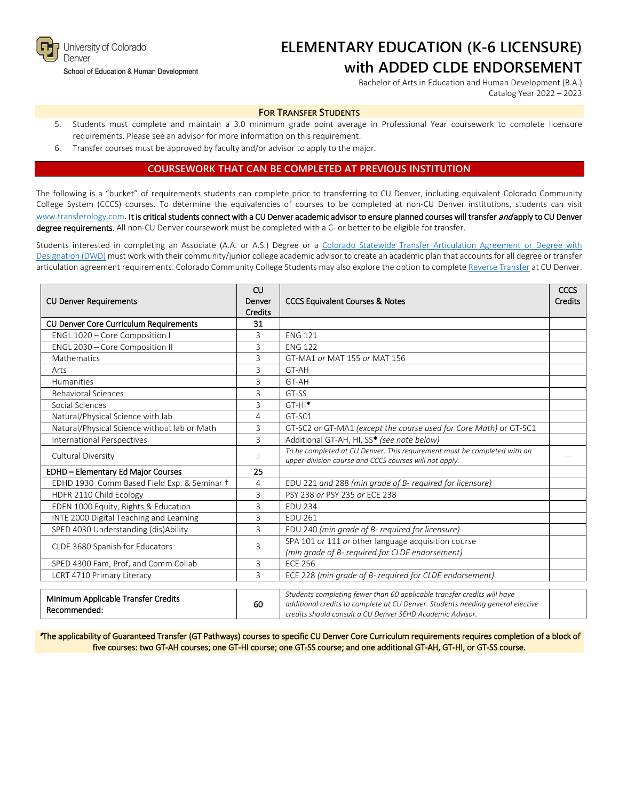

#### School of Education & Human Development

# **ELEMENTARY EDUCATION (K-6 LICENSURE) with ADDED CLDE ENDORSEMENT**

Bachelor of Arts in Education and Human Development (B.A.) Catalog Year 2022 – 2023

#### **FOR TRANSFER STUDENTS**

- 5. Students must complete and maintain a 3.0 minimum grade point average in Professional Year coursework to complete licensure requirements. Please see an advisor for more information on this requirement.
- 6. Transfer courses must be approved by faculty and/or advisor to apply to the major.

# **COURSEWORK THAT CAN BE COMPLETED AT PREVIOUS INSTITUTION**

The following is a "bucket" of requirements students can complete prior to transferring to CU Denver, including equivalent Colorado Community College System (CCCS) courses. To determine the equivalencies of courses to be completed at non-CU Denver institutions, students can visit [www.transferology.com](http://www.transferology.com/)**.** It is critical students connect with a CU Denver academic advisor to ensure planned courses will transfer and apply to CU Denver degree requirements. All non-CU Denver coursework must be completed with a C- or better to be eligible for transfer.

Students interested in completing an Associate (A.A. or A.S.) Degree or a [Colorado Statewide Transfer Articulation Agreement or Degree with](https://highered.colorado.gov/Academics/Transfers/TransferDegrees.html)  [Designation \(DWD\)](https://highered.colorado.gov/Academics/Transfers/TransferDegrees.html) must work with their community/junior college academic advisor to create an academic plan that accounts for all degree or transfer articulation agreement requirements. Colorado Community College Students may also explore the option to complet[e Reverse Transfer](https://degreewithinreach.wordpress.com/) at CU Denver.

|                                              | CU      |                                                                                                                                             | CCCS |
|----------------------------------------------|---------|---------------------------------------------------------------------------------------------------------------------------------------------|------|
| <b>CU Denver Requirements</b>                | Denver  | <b>CCCS Equivalent Courses &amp; Notes</b>                                                                                                  |      |
|                                              | Credits |                                                                                                                                             |      |
| CU Denver Core Curriculum Requirements       | 31      |                                                                                                                                             |      |
| ENGL 1020 - Core Composition I               | 3       | <b>ENG 121</b>                                                                                                                              |      |
| ENGL 2030 - Core Composition II              | 3       | <b>ENG 122</b>                                                                                                                              |      |
| Mathematics                                  | 3       | GT-MA1 or MAT 155 or MAT 156                                                                                                                |      |
| Arts                                         | 3       | GT-AH                                                                                                                                       |      |
| Humanities                                   | 3       | GT-AH                                                                                                                                       |      |
| <b>Behavioral Sciences</b>                   | 3       | GT-SS                                                                                                                                       |      |
| Social Sciences                              | 3       | $GT-HI^*$                                                                                                                                   |      |
| Natural/Physical Science with lab            | 4       | GT-SC1                                                                                                                                      |      |
| Natural/Physical Science without lab or Math | 3       | GT-SC2 or GT-MA1 (except the course used for Core Math) or GT-SC1                                                                           |      |
| International Perspectives                   | 3       | Additional GT-AH, HI, SS* (see note below)                                                                                                  |      |
| Cultural Diversity                           | 3       | To be completed at CU Denver. This requirement must be completed with an                                                                    |      |
|                                              |         | upper-division course and CCCS courses will not apply.                                                                                      |      |
| EDHD - Elementary Ed Major Courses           | 25      |                                                                                                                                             |      |
| EDHD 1930 Comm Based Field Exp. & Seminar +  | 4       | EDU 221 and 288 (min grade of B- required for licensure)                                                                                    |      |
| HDFR 2110 Child Ecology                      | 3       | PSY 238 or PSY 235 or ECE 238                                                                                                               |      |
| EDFN 1000 Equity, Rights & Education         | 3       | <b>EDU 234</b>                                                                                                                              |      |
| INTE 2000 Digital Teaching and Learning      | 3       | <b>EDU 261</b>                                                                                                                              |      |
| SPED 4030 Understanding (dis)Ability         | 3       | EDU 240 (min grade of B- required for licensure)                                                                                            |      |
|                                              | 3       | SPA 101 or 111 or other language acquisition course                                                                                         |      |
| CLDE 3680 Spanish for Educators              |         | (min grade of B- required for CLDE endorsement)                                                                                             |      |
| SPED 4300 Fam, Prof, and Comm Collab         | 3       | <b>ECE 256</b>                                                                                                                              |      |
| LCRT 4710 Primary Literacy                   | 3       | ECE 228 (min grade of B- required for CLDE endorsement)                                                                                     |      |
|                                              |         |                                                                                                                                             |      |
| Minimum Applicable Transfer Credits          |         | Students completing fewer than 60 applicable transfer credits will have                                                                     |      |
| Recommended:                                 | 60      | additional credits to complete at CU Denver. Students needing general elective<br>credits should consult a CU Denver SEHD Academic Advisor. |      |
|                                              |         |                                                                                                                                             |      |

\*The applicability of Guaranteed Transfer (GT Pathways) courses to specific CU Denver Core Curriculum requirements requires completion of a block of five courses: two GT-AH courses; one GT-HI course; one GT-SS course; and one additional GT-AH, GT-HI, or GT-SS course.